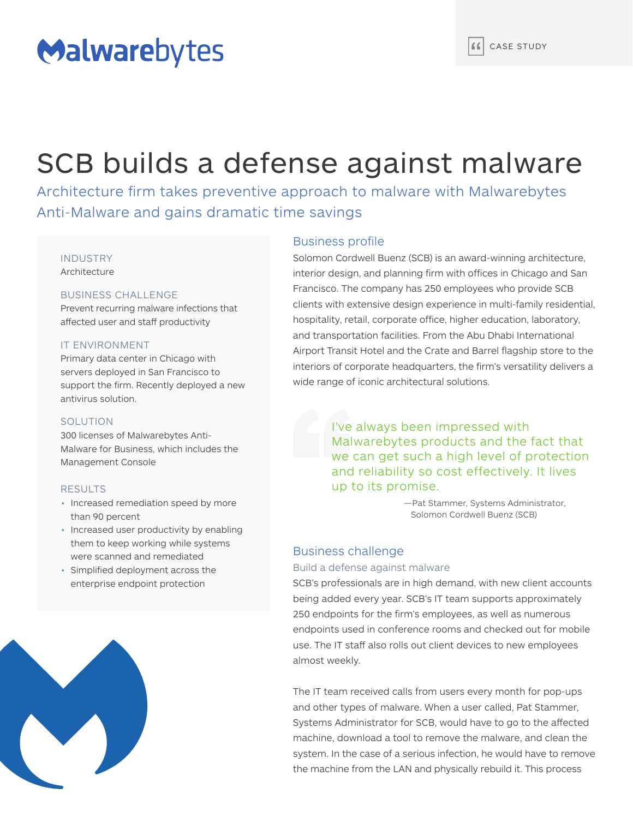# Malwarebytes

# SCB builds a defense against malware

Architecture firm takes preventive approach to malware with Malwarebytes Anti-Malware and gains dramatic time savings

#### INDUSTRY Architecture

#### BUSINESS CHALLENGE

Prevent recurring malware infections that affected user and staff productivity

#### IT ENVIRONMENT

Primary data center in Chicago with servers deployed in San Francisco to support the firm. Recently deployed a new antivirus solution.

#### **SOLUTION**

300 licenses of Malwarebytes Anti-Malware for Business, which includes the Management Console

#### RESULTS

- Increased remediation speed by more than 90 percent
- Increased user productivity by enabling them to keep working while systems were scanned and remediated
- Simplified deployment across the enterprise endpoint protection



### Business profile

Solomon Cordwell Buenz (SCB) is an award-winning architecture, interior design, and planning firm with offices in Chicago and San Francisco. The company has 250 employees who provide SCB clients with extensive design experience in multi-family residential, hospitality, retail, corporate office, higher education, laboratory, and transportation facilities. From the Abu Dhabi International Airport Transit Hotel and the Crate and Barrel flagship store to the interiors of corporate headquarters, the firm's versatility delivers a wide range of iconic architectural solutions.

> I've always been impressed with Malwarebytes products and the fact that we can get such a high level of protection and reliability so cost effectively. It lives up to its promise.

> > —Pat Stammer, Systems Administrator, Solomon Cordwell Buenz (SCB)

## Business challenge

#### Build a defense against malware

SCB's professionals are in high demand, with new client accounts being added every year. SCB's IT team supports approximately 250 endpoints for the firm's employees, as well as numerous endpoints used in conference rooms and checked out for mobile use. The IT staff also rolls out client devices to new employees almost weekly.

The IT team received calls from users every month for pop-ups and other types of malware. When a user called, Pat Stammer, Systems Administrator for SCB, would have to go to the affected machine, download a tool to remove the malware, and clean the system. In the case of a serious infection, he would have to remove the machine from the LAN and physically rebuild it. This process